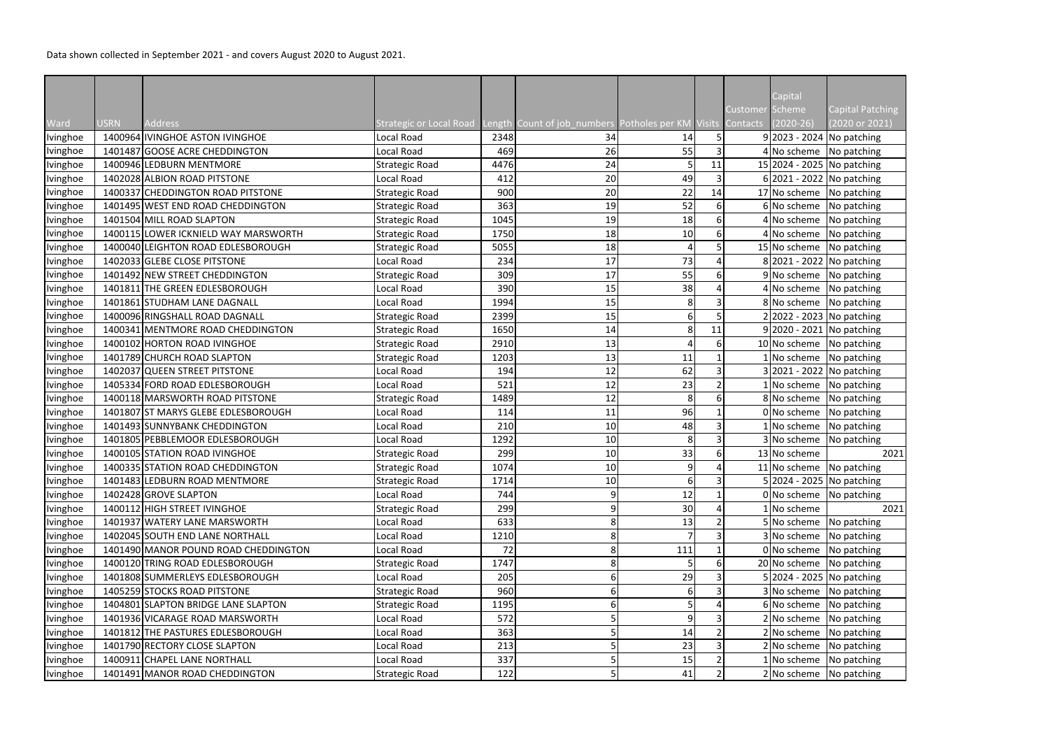Data shown collected in September 2021 - and covers August 2020 to August 2021.

|          |             |                                      |                                |      |                                                    |     |    |                 | Capital      |                                     |
|----------|-------------|--------------------------------------|--------------------------------|------|----------------------------------------------------|-----|----|-----------------|--------------|-------------------------------------|
|          |             |                                      |                                |      |                                                    |     |    | Customer Scheme |              | <b>Capital Patching</b>             |
| Ward     | <b>USRN</b> | <b>Address</b>                       | <b>Strategic or Local Road</b> |      | Length Count of job_numbers Potholes per KM Visits |     |    | Contacts        | $(2020-26)$  | (2020 or 2021)                      |
| Ivinghoe |             | 1400964 IVINGHOE ASTON IVINGHOE      | Local Road                     | 2348 | 34                                                 | 14  | 5  |                 |              | $9 2023 - 2024 $ No patching        |
| Ivinghoe |             | 1401487 GOOSE ACRE CHEDDINGTON       | Local Road                     | 469  | 26                                                 | 55  | 3  |                 |              | $4 No scheme$ No patching           |
| Ivinghoe |             | 1400946 LEDBURN MENTMORE             | <b>Strategic Road</b>          | 4476 | 24                                                 |     | 11 |                 |              | 15 2024 - 2025 No patching          |
| Ivinghoe |             | 1402028 ALBION ROAD PITSTONE         | Local Road                     | 412  | 20                                                 | 49  |    |                 |              | $6 2021 - 2022 $ No patching        |
| Ivinghoe |             | 1400337 CHEDDINGTON ROAD PITSTONE    | <b>Strategic Road</b>          | 900  | 20                                                 | 22  | 14 |                 |              | 17 No scheme No patching            |
| Ivinghoe |             | 1401495 WEST END ROAD CHEDDINGTON    | <b>Strategic Road</b>          | 363  | 19                                                 | 52  | 6  |                 |              | 6 No scheme No patching             |
| Ivinghoe |             | 1401504 MILL ROAD SLAPTON            | <b>Strategic Road</b>          | 1045 | 19                                                 | 18  | 6  |                 |              | 4 No scheme No patching             |
| Ivinghoe |             | 1400115 LOWER ICKNIELD WAY MARSWORTH | <b>Strategic Road</b>          | 1750 | 18                                                 | 10  | 6  |                 | 4 No scheme  | No patching                         |
| Ivinghoe |             | 1400040 LEIGHTON ROAD EDLESBOROUGH   | <b>Strategic Road</b>          | 5055 | 18                                                 |     |    |                 |              | 15 No scheme No patching            |
| Ivinghoe |             | 1402033 GLEBE CLOSE PITSTONE         | Local Road                     | 234  | 17                                                 | 73  |    |                 |              | 8 2021 - 2022 No patching           |
| Ivinghoe |             | 1401492 NEW STREET CHEDDINGTON       | <b>Strategic Road</b>          | 309  | 17                                                 | 55  | 6  |                 |              | 9 No scheme   No patching           |
| Ivinghoe |             | 1401811 THE GREEN EDLESBOROUGH       | Local Road                     | 390  | 15                                                 | 38  |    |                 |              | $4$ No scheme No patching           |
| Ivinghoe |             | 1401861 STUDHAM LANE DAGNALL         | Local Road                     | 1994 | 15                                                 |     |    |                 |              | 8 No scheme No patching             |
| Ivinghoe |             | 1400096 RINGSHALL ROAD DAGNALL       | <b>Strategic Road</b>          | 2399 | 15                                                 | 6   |    |                 |              | 2 2022 - 2023   No patching         |
| Ivinghoe |             | 1400341 MENTMORE ROAD CHEDDINGTON    | <b>Strategic Road</b>          | 1650 | 14                                                 | 8   | 11 |                 |              | $9 2020 - 2021 $ No patching        |
| Ivinghoe |             | 1400102 HORTON ROAD IVINGHOE         | <b>Strategic Road</b>          | 2910 | 13                                                 |     | 6  |                 |              | 10 No scheme No patching            |
| Ivinghoe |             | 1401789 CHURCH ROAD SLAPTON          | <b>Strategic Road</b>          | 1203 | 13                                                 | 11  |    |                 |              | $1$ No scheme No patching           |
| Ivinghoe |             | 1402037 QUEEN STREET PITSTONE        | Local Road                     | 194  | 12                                                 | 62  | 3  |                 |              | 3 2021 - 2022   No patching         |
| Ivinghoe |             | 1405334 FORD ROAD EDLESBOROUGH       | Local Road                     | 521  | 12                                                 | 23  |    |                 |              | $1 $ No scheme   No patching        |
| Ivinghoe |             | 1400118 MARSWORTH ROAD PITSTONE      | <b>Strategic Road</b>          | 1489 | 12                                                 | 8   | 6  |                 | 8 No scheme  | No patching                         |
| Ivinghoe |             | 1401807 ST MARYS GLEBE EDLESBOROUGH  | Local Road                     | 114  | 11                                                 | 96  |    |                 | 0 No scheme  | No patching                         |
| Ivinghoe |             | 1401493 SUNNYBANK CHEDDINGTON        | Local Road                     | 210  | 10                                                 | 48  | 3  |                 |              | 1 No scheme No patching             |
| Ivinghoe |             | 1401805 PEBBLEMOOR EDLESBOROUGH      | Local Road                     | 1292 | 10                                                 | 8   | 3  |                 | 3 No scheme  | No patching                         |
| Ivinghoe |             | 1400105 STATION ROAD IVINGHOE        | <b>Strategic Road</b>          | 299  | 10                                                 | 33  |    |                 | 13 No scheme | 2021                                |
| Ivinghoe |             | 1400335 STATION ROAD CHEDDINGTON     | <b>Strategic Road</b>          | 1074 | 10                                                 | ΩI  |    |                 |              | 11 No scheme $\sqrt{N}$ No patching |
| Ivinghoe |             | 1401483 LEDBURN ROAD MENTMORE        | <b>Strategic Road</b>          | 1714 | 10                                                 | 6   |    |                 |              | 5 2024 - 2025 No patching           |
| Ivinghoe |             | 1402428 GROVE SLAPTON                | Local Road                     | 744  |                                                    | 12  |    |                 |              | 0 No scheme No patching             |
| Ivinghoe |             | 1400112 HIGH STREET IVINGHOE         | <b>Strategic Road</b>          | 299  |                                                    | 30  |    |                 | 1 No scheme  | 2021                                |
| Ivinghoe |             | 1401937 WATERY LANE MARSWORTH        | Local Road                     | 633  |                                                    | 13  |    |                 |              | 5 No scheme No patching             |
| Ivinghoe |             | 1402045 SOUTH END LANE NORTHALL      | Local Road                     | 1210 |                                                    |     |    |                 |              | 3 No scheme No patching             |
| Ivinghoe |             | 1401490 MANOR POUND ROAD CHEDDINGTON | Local Road                     | 72   |                                                    | 111 |    |                 |              | 0 No scheme No patching             |
| Ivinghoe |             | 1400120 TRING ROAD EDLESBOROUGH      | <b>Strategic Road</b>          | 1747 |                                                    |     | 6  |                 |              | 20 No scheme No patching            |
| Ivinghoe |             | 1401808 SUMMERLEYS EDLESBOROUGH      | Local Road                     | 205  |                                                    | 29  |    |                 |              | 5 2024 - 2025   No patching         |
| Ivinghoe |             | 1405259 STOCKS ROAD PITSTONE         | <b>Strategic Road</b>          | 960  |                                                    |     |    |                 |              | 3 No scheme No patching             |
| Ivinghoe |             | 1404801 SLAPTON BRIDGE LANE SLAPTON  | <b>Strategic Road</b>          | 1195 |                                                    |     |    |                 |              | 6 No scheme No patching             |
| Ivinghoe |             | 1401936 VICARAGE ROAD MARSWORTH      | Local Road                     | 572  |                                                    | 9   |    |                 |              | 2 No scheme No patching             |
| Ivinghoe |             | 1401812 THE PASTURES EDLESBOROUGH    | Local Road                     | 363  |                                                    | 14  |    |                 |              | $2 No scheme$ No patching           |
| Ivinghoe |             | 1401790 RECTORY CLOSE SLAPTON        | Local Road                     | 213  |                                                    | 23  |    |                 |              | 2 No scheme No patching             |
| Ivinghoe |             | 1400911 CHAPEL LANE NORTHALL         | Local Road                     | 337  |                                                    | 15  |    |                 | 1 No scheme  | No patching                         |
| Ivinghoe |             | 1401491 MANOR ROAD CHEDDINGTON       | <b>Strategic Road</b>          | 122  |                                                    | 41  |    |                 |              | 2 No scheme No patching             |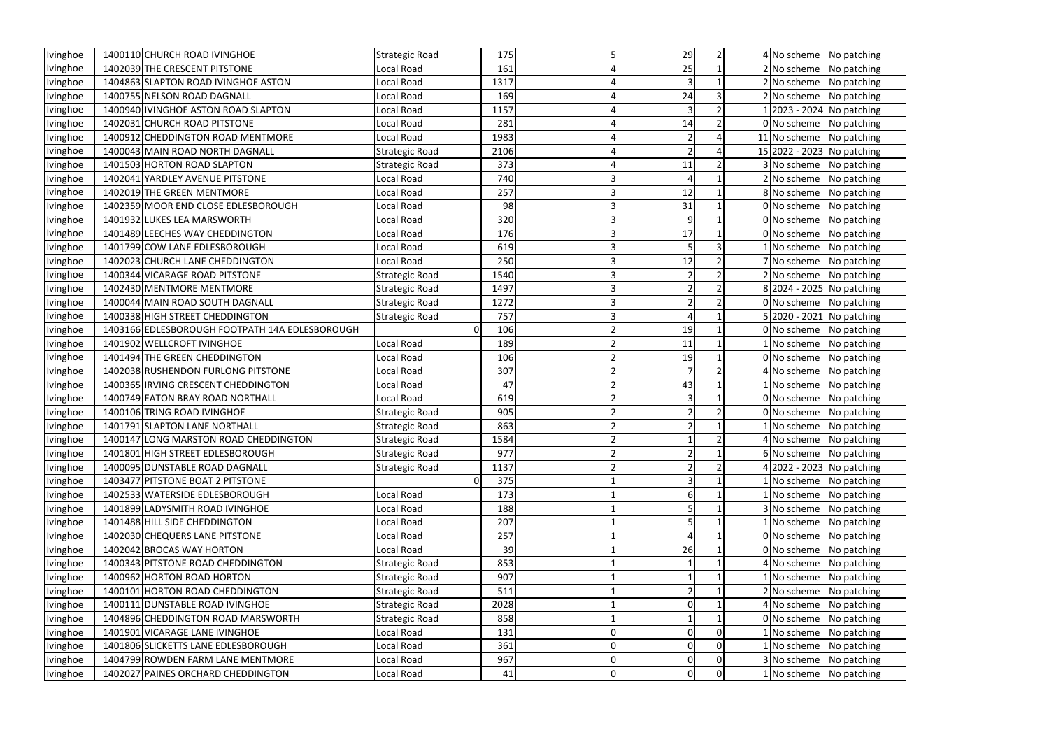| Ivinghoe        | 1400110 CHURCH ROAD IVINGHOE                   | <b>Strategic Road</b> | 175  |   | 29 |   |             | 4 No scheme No patching      |
|-----------------|------------------------------------------------|-----------------------|------|---|----|---|-------------|------------------------------|
| Ivinghoe        | 1402039 THE CRESCENT PITSTONE                  | Local Road            | 161  |   | 25 |   |             | 2 No scheme No patching      |
| Ivinghoe        | 1404863 SLAPTON ROAD IVINGHOE ASTON            | Local Road            | 1317 |   |    |   |             | 2 No scheme No patching      |
| Ivinghoe        | 1400755 NELSON ROAD DAGNALL                    | Local Road            | 169  |   | 24 | 3 |             | 2 No scheme No patching      |
| Ivinghoe        | 1400940 IVINGHOE ASTON ROAD SLAPTON            | Local Road            | 1157 |   |    |   |             | 1 2023 - 2024   No patching  |
| Ivinghoe        | 1402031 CHURCH ROAD PITSTONE                   | Local Road            | 281  |   | 14 |   |             | 0 No scheme No patching      |
| Ivinghoe        | 1400912 CHEDDINGTON ROAD MENTMORE              | Local Road            | 1983 |   |    |   |             | 11 No scheme No patching     |
| Ivinghoe        | 1400043 MAIN ROAD NORTH DAGNALL                | Strategic Road        | 2106 |   |    |   |             | 15 2022 - 2023 No patching   |
| Ivinghoe        | 1401503 HORTON ROAD SLAPTON                    | <b>Strategic Road</b> | 373  |   | 11 |   |             | 3 No scheme No patching      |
| Ivinghoe        | 1402041 YARDLEY AVENUE PITSTONE                | Local Road            | 740  |   |    |   |             | 2 No scheme   No patching    |
| Ivinghoe        | 1402019 THE GREEN MENTMORE                     | Local Road            | 257  |   | 12 |   |             | 8 No scheme No patching      |
| Ivinghoe        | 1402359 MOOR END CLOSE EDLESBOROUGH            | Local Road            | 98   |   | 31 |   |             | 0 No scheme No patching      |
| Ivinghoe        | 1401932 LUKES LEA MARSWORTH                    | Local Road            | 320  |   | 9  |   |             | 0 No scheme No patching      |
| Ivinghoe        | 1401489 LEECHES WAY CHEDDINGTON                | Local Road            | 176  |   | 17 |   |             | 0 No scheme No patching      |
| Ivinghoe        | 1401799 COW LANE EDLESBOROUGH                  | Local Road            | 619  |   |    |   |             | 1 No scheme   No patching    |
| Ivinghoe        | 1402023 CHURCH LANE CHEDDINGTON                | Local Road            | 250  |   | 12 |   |             | 7 No scheme No patching      |
| Ivinghoe        | 1400344 VICARAGE ROAD PITSTONE                 | Strategic Road        | 1540 |   |    |   |             | $2 No scheme$ No patching    |
| Ivinghoe        | 1402430 MENTMORE MENTMORE                      | Strategic Road        | 1497 |   |    |   |             | 8 2024 - 2025 No patching    |
| Ivinghoe        | 1400044 MAIN ROAD SOUTH DAGNALL                | <b>Strategic Road</b> | 1272 |   |    |   |             | 0 No scheme No patching      |
| Ivinghoe        | 1400338 HIGH STREET CHEDDINGTON                | <b>Strategic Road</b> | 757  |   |    |   |             | 5 2020 - 2021 No patching    |
| Ivinghoe        | 1403166 EDLESBOROUGH FOOTPATH 14A EDLESBOROUGH | O                     | 106  |   | 19 |   |             | 0 No scheme No patching      |
| Ivinghoe        | 1401902 WELLCROFT IVINGHOE                     | Local Road            | 189  |   | 11 |   |             | 1 No scheme No patching      |
| Ivinghoe        | 1401494 THE GREEN CHEDDINGTON                  | Local Road            | 106  |   | 19 |   |             | 0 No scheme   No patching    |
| Ivinghoe        | 1402038 RUSHENDON FURLONG PITSTONE             | Local Road            | 307  |   |    |   | 4 No scheme | No patching                  |
| Ivinghoe        | 1400365 IRVING CRESCENT CHEDDINGTON            | Local Road            | 47   |   | 43 |   | 1 No scheme | No patching                  |
| Ivinghoe        | 1400749 EATON BRAY ROAD NORTHALL               | Local Road            | 619  |   |    |   |             | 0 No scheme No patching      |
| Ivinghoe        | 1400106 TRING ROAD IVINGHOE                    | Strategic Road        | 905  |   |    |   |             | 0 No scheme No patching      |
| Ivinghoe        | 1401791 SLAPTON LANE NORTHALL                  | Strategic Road        | 863  |   |    |   |             | $1 $ No scheme   No patching |
| <b>lvinghoe</b> | 1400147 LONG MARSTON ROAD CHEDDINGTON          | Strategic Road        | 1584 |   |    |   |             | 4 No scheme No patching      |
| Ivinghoe        | 1401801 HIGH STREET EDLESBOROUGH               | <b>Strategic Road</b> | 977  |   |    |   |             | 6 No scheme No patching      |
| Ivinghoe        | 1400095 DUNSTABLE ROAD DAGNALL                 | <b>Strategic Road</b> | 1137 |   |    |   |             | 4 2022 - 2023 No patching    |
| Ivinghoe        | 1403477 PITSTONE BOAT 2 PITSTONE               | 0                     | 375  |   |    |   |             | 1 No scheme No patching      |
| Ivinghoe        | 1402533 WATERSIDE EDLESBOROUGH                 | Local Road            | 173  |   |    |   |             | $1 $ No scheme   No patching |
| Ivinghoe        | 1401899 LADYSMITH ROAD IVINGHOE                | Local Road            | 188  |   |    |   | 3 No scheme | No patching                  |
| Ivinghoe        | 1401488 HILL SIDE CHEDDINGTON                  | Local Road            | 207  |   |    |   |             | $1$ No scheme No patching    |
| Ivinghoe        | 1402030 CHEQUERS LANE PITSTONE                 | Local Road            | 257  |   |    |   |             | 0 No scheme No patching      |
| Ivinghoe        | 1402042 BROCAS WAY HORTON                      | Local Road            | 39   |   | 26 |   | 0 No scheme | No patching                  |
| Ivinghoe        | 1400343 PITSTONE ROAD CHEDDINGTON              | Strategic Road        | 853  |   |    |   | 4 No scheme | No patching                  |
| Ivinghoe        | 1400962 HORTON ROAD HORTON                     | <b>Strategic Road</b> | 907  |   |    |   | 1 No scheme | No patching                  |
| Ivinghoe        | 1400101 HORTON ROAD CHEDDINGTON                | <b>Strategic Road</b> | 511  |   |    |   |             | 2 No scheme No patching      |
| Ivinghoe        | 1400111 DUNSTABLE ROAD IVINGHOE                | <b>Strategic Road</b> | 2028 |   |    |   |             | 4 No scheme No patching      |
| Ivinghoe        | 1404896 CHEDDINGTON ROAD MARSWORTH             | Strategic Road        | 858  |   |    |   |             | 0 No scheme No patching      |
| Ivinghoe        | 1401901 VICARAGE LANE IVINGHOE                 | Local Road            | 131  |   |    |   | 1 No scheme | No patching                  |
| Ivinghoe        | 1401806 SLICKETTS LANE EDLESBOROUGH            | Local Road            | 361  |   |    |   | 1 No scheme | No patching                  |
| Ivinghoe        | 1404799 ROWDEN FARM LANE MENTMORE              | Local Road            | 967  |   |    | 0 |             | 3 No scheme No patching      |
| Ivinghoe        | 1402027 PAINES ORCHARD CHEDDINGTON             | Local Road            | 41   | 0 | O  | 0 |             | $1 $ No scheme   No patching |